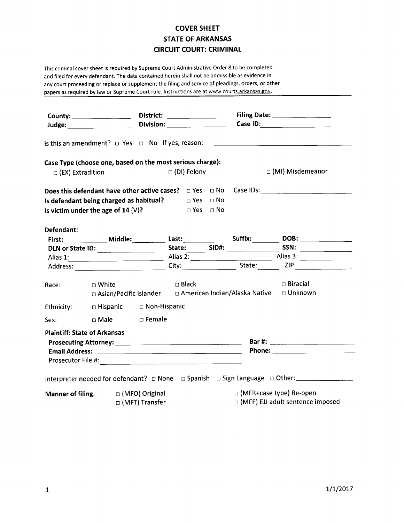## COVER SHEET STATE OF ARKANSAS CIRCUIT COURT: CRIMINAL

This criminal cover sheet is required by Supreme Court Administrative Order 8 to be completed and filed for every defendant. The data contained herein shall not be admissible as evidence in any court proceeding or replace or supplement the filing and service of pleadings, orders, or other papers as required by law or Supreme Court rule. Instructions are at www.courts.arkansas.gov.

| County: _____________________                                |                                                           |                              | District: _________________             |            |  | Case ID: _____________________                                     |                                                                                                                                                                                                                               |  |  |
|--------------------------------------------------------------|-----------------------------------------------------------|------------------------------|-----------------------------------------|------------|--|--------------------------------------------------------------------|-------------------------------------------------------------------------------------------------------------------------------------------------------------------------------------------------------------------------------|--|--|
|                                                              |                                                           |                              |                                         |            |  |                                                                    |                                                                                                                                                                                                                               |  |  |
|                                                              | Case Type (choose one, based on the most serious charge): |                              |                                         |            |  |                                                                    |                                                                                                                                                                                                                               |  |  |
| $\Box$ (EX) Extradition                                      |                                                           |                              | $\Box$ (DI) Felony                      |            |  | $\Box$ (MI) Misdemeanor                                            |                                                                                                                                                                                                                               |  |  |
|                                                              |                                                           |                              |                                         |            |  |                                                                    | Does this defendant have other active cases? $\Box$ Yes $\Box$ No Case IDs:                                                                                                                                                   |  |  |
| Is defendant being charged as habitual? $\Box$ Yes $\Box$ No |                                                           |                              |                                         |            |  |                                                                    |                                                                                                                                                                                                                               |  |  |
| Is victim under the age of $14 \, (\vee)$ ?                  |                                                           |                              |                                         | ⊡ Yes □ No |  |                                                                    |                                                                                                                                                                                                                               |  |  |
|                                                              |                                                           |                              |                                         |            |  |                                                                    |                                                                                                                                                                                                                               |  |  |
| Defendant:                                                   |                                                           |                              |                                         |            |  |                                                                    |                                                                                                                                                                                                                               |  |  |
|                                                              |                                                           |                              |                                         |            |  |                                                                    |                                                                                                                                                                                                                               |  |  |
|                                                              |                                                           |                              |                                         |            |  |                                                                    |                                                                                                                                                                                                                               |  |  |
|                                                              |                                                           |                              |                                         |            |  |                                                                    | Alias 1: Alias 2: Alias 2: Alias 2: Alias 3: Alias 3: Alias 3: Alias 3: Alias 3: Alias 3: Alias 3: Alias 3: Alias 3: Alias 3: Alias 3: Alias 3: Alias 3: Alias 3: Alias 3: Alias 3: Alias 3: Alias 3: Alias 3: Alias 3: Alias |  |  |
| Race:                                                        | □ White                                                   | ta a basan da Black da Black |                                         |            |  | <b>Example 1</b> Biracial                                          |                                                                                                                                                                                                                               |  |  |
|                                                              |                                                           |                              |                                         |            |  | □ Asian/Pacific Islander □ American Indian/Alaska Native □ Unknown |                                                                                                                                                                                                                               |  |  |
|                                                              | Ethnicity: $\Box$ Hispanic $\Box$ Non-Hispanic            |                              |                                         |            |  |                                                                    |                                                                                                                                                                                                                               |  |  |
|                                                              | Sex: DMale DFemale                                        |                              |                                         |            |  |                                                                    |                                                                                                                                                                                                                               |  |  |
|                                                              | <b>Plaintiff: State of Arkansas</b>                       |                              |                                         |            |  |                                                                    |                                                                                                                                                                                                                               |  |  |
|                                                              |                                                           |                              |                                         |            |  |                                                                    |                                                                                                                                                                                                                               |  |  |
|                                                              |                                                           |                              |                                         |            |  |                                                                    |                                                                                                                                                                                                                               |  |  |
|                                                              |                                                           |                              |                                         |            |  |                                                                    |                                                                                                                                                                                                                               |  |  |
|                                                              |                                                           |                              |                                         |            |  |                                                                    | Interpreter needed for defendant? $\Box$ None $\Box$ Spanish $\Box$ Sign Language $\Box$ Other:                                                                                                                               |  |  |
| Manner of filing:  □ (MFO) Original                          |                                                           |                              |                                         |            |  | $\Box$ (MFR+case type) Re-open                                     |                                                                                                                                                                                                                               |  |  |
|                                                              |                                                           | $\Box$ (MFT) Transfer        | $\Box$ (MFE) EJJ adult sentence imposed |            |  |                                                                    |                                                                                                                                                                                                                               |  |  |

 $\sim 10^{-1}$